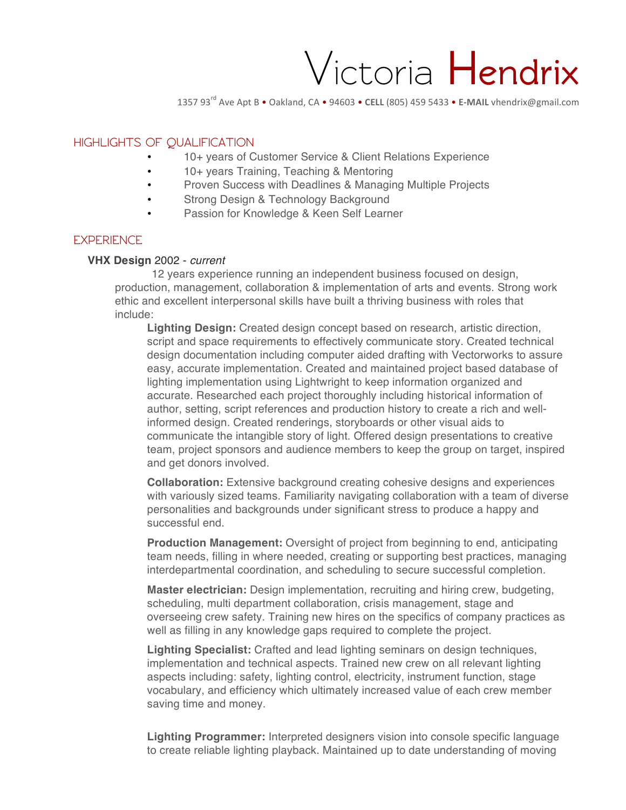# Victoria **Hendrix**

1357 93<sup>rd</sup> Ave Apt B • Oakland, CA • 94603 • CELL (805) 459 5433 • E-MAIL vhendrix@gmail.com

## **HIGHLIGHTS OF QUALIFICATION**

- 10+ years of Customer Service & Client Relations Experience
- 10+ years Training, Teaching & Mentoring
- Proven Success with Deadlines & Managing Multiple Projects
- Strong Design & Technology Background
- Passion for Knowledge & Keen Self Learner

#### **EXPERIENCE**

#### **VHX Design** 2002 - *current*

12 years experience running an independent business focused on design, production, management, collaboration & implementation of arts and events. Strong work ethic and excellent interpersonal skills have built a thriving business with roles that include:

**Lighting Design:** Created design concept based on research, artistic direction, script and space requirements to effectively communicate story. Created technical design documentation including computer aided drafting with Vectorworks to assure easy, accurate implementation. Created and maintained project based database of lighting implementation using Lightwright to keep information organized and accurate. Researched each project thoroughly including historical information of author, setting, script references and production history to create a rich and wellinformed design. Created renderings, storyboards or other visual aids to communicate the intangible story of light. Offered design presentations to creative team, project sponsors and audience members to keep the group on target, inspired and get donors involved.

**Collaboration:** Extensive background creating cohesive designs and experiences with variously sized teams. Familiarity navigating collaboration with a team of diverse personalities and backgrounds under significant stress to produce a happy and successful end.

**Production Management:** Oversight of project from beginning to end, anticipating team needs, filling in where needed, creating or supporting best practices, managing interdepartmental coordination, and scheduling to secure successful completion.

**Master electrician:** Design implementation, recruiting and hiring crew, budgeting, scheduling, multi department collaboration, crisis management, stage and overseeing crew safety. Training new hires on the specifics of company practices as well as filling in any knowledge gaps required to complete the project.

**Lighting Specialist:** Crafted and lead lighting seminars on design techniques, implementation and technical aspects. Trained new crew on all relevant lighting aspects including: safety, lighting control, electricity, instrument function, stage vocabulary, and efficiency which ultimately increased value of each crew member saving time and money.

**Lighting Programmer:** Interpreted designers vision into console specific language to create reliable lighting playback. Maintained up to date understanding of moving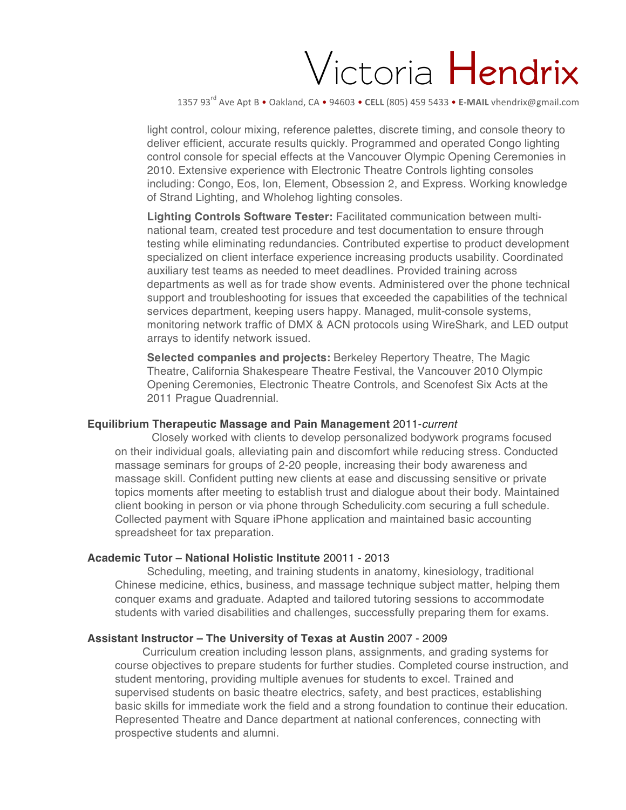# Victoria **Hendrix**

1357 93<sup>rd</sup> Ave Apt B • Oakland, CA • 94603 • CELL (805) 459 5433 • E-MAIL vhendrix@gmail.com

light control, colour mixing, reference palettes, discrete timing, and console theory to deliver efficient, accurate results quickly. Programmed and operated Congo lighting control console for special effects at the Vancouver Olympic Opening Ceremonies in 2010. Extensive experience with Electronic Theatre Controls lighting consoles including: Congo, Eos, Ion, Element, Obsession 2, and Express. Working knowledge of Strand Lighting, and Wholehog lighting consoles.

**Lighting Controls Software Tester:** Facilitated communication between multinational team, created test procedure and test documentation to ensure through testing while eliminating redundancies. Contributed expertise to product development specialized on client interface experience increasing products usability. Coordinated auxiliary test teams as needed to meet deadlines. Provided training across departments as well as for trade show events. Administered over the phone technical support and troubleshooting for issues that exceeded the capabilities of the technical services department, keeping users happy. Managed, mulit-console systems, monitoring network traffic of DMX & ACN protocols using WireShark, and LED output arrays to identify network issued.

**Selected companies and projects:** Berkeley Repertory Theatre, The Magic Theatre, California Shakespeare Theatre Festival, the Vancouver 2010 Olympic Opening Ceremonies, Electronic Theatre Controls, and Scenofest Six Acts at the 2011 Prague Quadrennial.

#### **Equilibrium Therapeutic Massage and Pain Management** 2011-*current*

Closely worked with clients to develop personalized bodywork programs focused on their individual goals, alleviating pain and discomfort while reducing stress. Conducted massage seminars for groups of 2-20 people, increasing their body awareness and massage skill. Confident putting new clients at ease and discussing sensitive or private topics moments after meeting to establish trust and dialogue about their body. Maintained client booking in person or via phone through Schedulicity.com securing a full schedule. Collected payment with Square iPhone application and maintained basic accounting spreadsheet for tax preparation.

## **Academic Tutor – National Holistic Institute** 20011 - 2013

Scheduling, meeting, and training students in anatomy, kinesiology, traditional Chinese medicine, ethics, business, and massage technique subject matter, helping them conquer exams and graduate. Adapted and tailored tutoring sessions to accommodate students with varied disabilities and challenges, successfully preparing them for exams.

## **Assistant Instructor – The University of Texas at Austin** 2007 - 2009

Curriculum creation including lesson plans, assignments, and grading systems for course objectives to prepare students for further studies. Completed course instruction, and student mentoring, providing multiple avenues for students to excel. Trained and supervised students on basic theatre electrics, safety, and best practices, establishing basic skills for immediate work the field and a strong foundation to continue their education. Represented Theatre and Dance department at national conferences, connecting with prospective students and alumni.